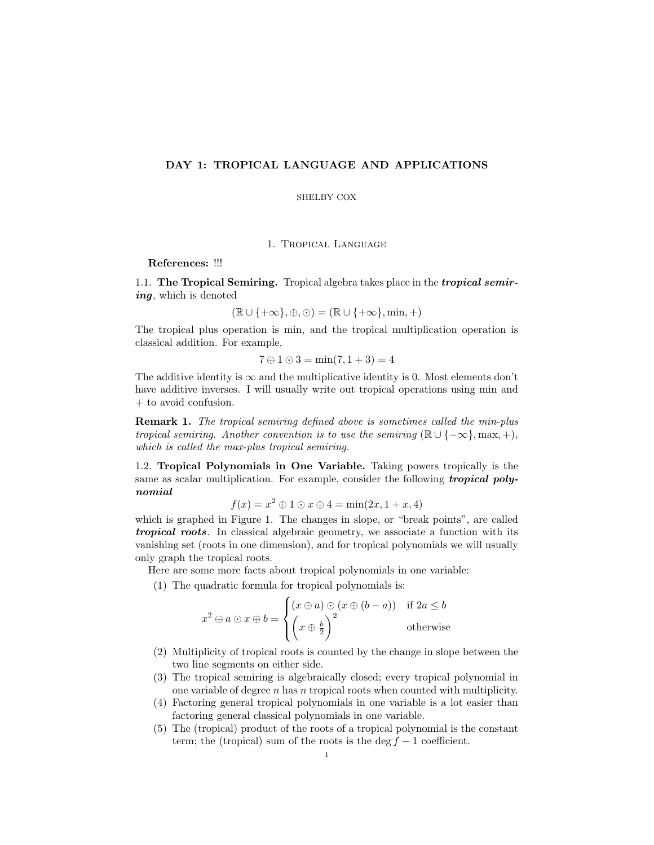# DAY 1: TROPICAL LANGUAGE AND APPLICATIONS

## SHELBY COX

1. Tropical Language

References: !!!

1.1. The Tropical Semiring. Tropical algebra takes place in the *tropical semir*ing, which is denoted

$$
(\mathbb{R} \cup \{+\infty\}, \oplus, \odot) = (\mathbb{R} \cup \{+\infty\}, \min, +)
$$

The tropical plus operation is min, and the tropical multiplication operation is classical addition. For example,

$$
7 \oplus 1 \odot 3 = \min(7, 1+3) = 4
$$

The additive identity is  $\infty$  and the multiplicative identity is 0. Most elements don't have additive inverses. I will usually write out tropical operations using min and + to avoid confusion.

Remark 1. The tropical semiring defined above is sometimes called the min-plus tropical semiring. Another convention is to use the semiring  $(\mathbb{R} \cup \{-\infty\}, \max, +),$ which is called the max-plus tropical semiring.

1.2. Tropical Polynomials in One Variable. Taking powers tropically is the same as scalar multiplication. For example, consider the following **tropical poly**nomial

$$
f(x) = x^2 \oplus 1 \odot x \oplus 4 = \min(2x, 1+x, 4)
$$

which is graphed in Figure 1. The changes in slope, or "break points", are called tropical roots. In classical algebraic geometry, we associate a function with its vanishing set (roots in one dimension), and for tropical polynomials we will usually only graph the tropical roots.

Here are some more facts about tropical polynomials in one variable:

(1) The quadratic formula for tropical polynomials is:

$$
x^{2} \oplus a \odot x \oplus b = \begin{cases} (x \oplus a) \odot (x \oplus (b-a)) & \text{if } 2a \leq b \\ \left(x \oplus \frac{b}{2}\right)^{2} & \text{otherwise} \end{cases}
$$

- (2) Multiplicity of tropical roots is counted by the change in slope between the two line segments on either side.
- (3) The tropical semiring is algebraically closed; every tropical polynomial in one variable of degree  $n$  has n tropical roots when counted with multiplicity.
- (4) Factoring general tropical polynomials in one variable is a lot easier than factoring general classical polynomials in one variable.
- (5) The (tropical) product of the roots of a tropical polynomial is the constant term; the (tropical) sum of the roots is the deg  $f - 1$  coefficient.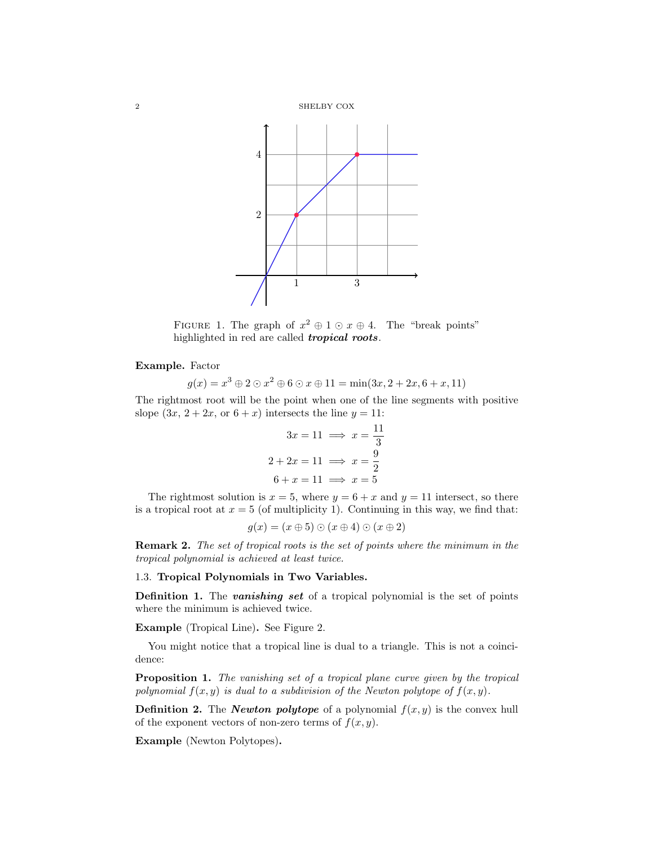

FIGURE 1. The graph of  $x^2 \oplus 1 \odot x \oplus 4$ . The "break points" highlighted in red are called **tropical roots**.

# Example. Factor

$$
g(x) = x^3 \oplus 2 \odot x^2 \oplus 6 \odot x \oplus 11 = \min(3x, 2 + 2x, 6 + x, 11)
$$

The rightmost root will be the point when one of the line segments with positive slope  $(3x, 2+2x, \text{ or } 6+x)$  intersects the line  $y = 11$ :

$$
3x = 11 \implies x = \frac{11}{3}
$$

$$
2 + 2x = 11 \implies x = \frac{9}{2}
$$

$$
6 + x = 11 \implies x = 5
$$

The rightmost solution is  $x = 5$ , where  $y = 6 + x$  and  $y = 11$  intersect, so there is a tropical root at  $x = 5$  (of multiplicity 1). Continuing in this way, we find that:

$$
g(x) = (x \oplus 5) \odot (x \oplus 4) \odot (x \oplus 2)
$$

Remark 2. The set of tropical roots is the set of points where the minimum in the tropical polynomial is achieved at least twice.

# 1.3. Tropical Polynomials in Two Variables.

**Definition 1.** The *vanishing set* of a tropical polynomial is the set of points where the minimum is achieved twice.

Example (Tropical Line). See Figure 2.

You might notice that a tropical line is dual to a triangle. This is not a coincidence:

**Proposition 1.** The vanishing set of a tropical plane curve given by the tropical polynomial  $f(x, y)$  is dual to a subdivision of the Newton polytope of  $f(x, y)$ .

**Definition 2.** The *Newton polytope* of a polynomial  $f(x, y)$  is the convex hull of the exponent vectors of non-zero terms of  $f(x, y)$ .

Example (Newton Polytopes).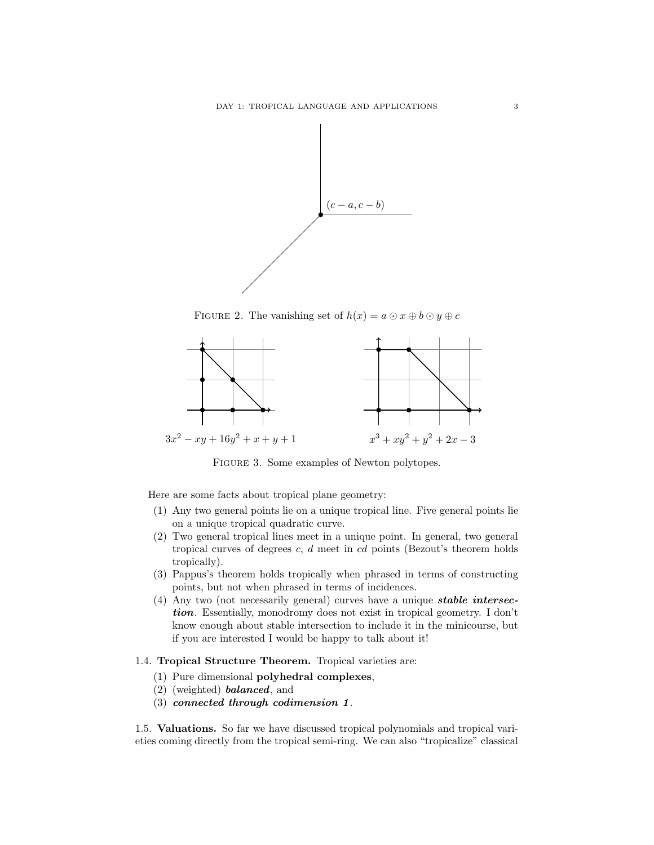

FIGURE 2. The vanishing set of  $h(x) = a \odot x \oplus b \odot y \oplus c$ 



Figure 3. Some examples of Newton polytopes.

Here are some facts about tropical plane geometry:

- (1) Any two general points lie on a unique tropical line. Five general points lie on a unique tropical quadratic curve.
- (2) Two general tropical lines meet in a unique point. In general, two general tropical curves of degrees  $c, d$  meet in cd points (Bezout's theorem holds tropically).
- (3) Pappus's theorem holds tropically when phrased in terms of constructing points, but not when phrased in terms of incidences.
- (4) Any two (not necessarily general) curves have a unique stable intersection. Essentially, monodromy does not exist in tropical geometry. I don't know enough about stable intersection to include it in the minicourse, but if you are interested I would be happy to talk about it!

## 1.4. Tropical Structure Theorem. Tropical varieties are:

- (1) Pure dimensional polyhedral complexes,
- $(2)$  (weighted) **balanced**, and
- (3) connected through codimension 1.

1.5. Valuations. So far we have discussed tropical polynomials and tropical varieties coming directly from the tropical semi-ring. We can also "tropicalize" classical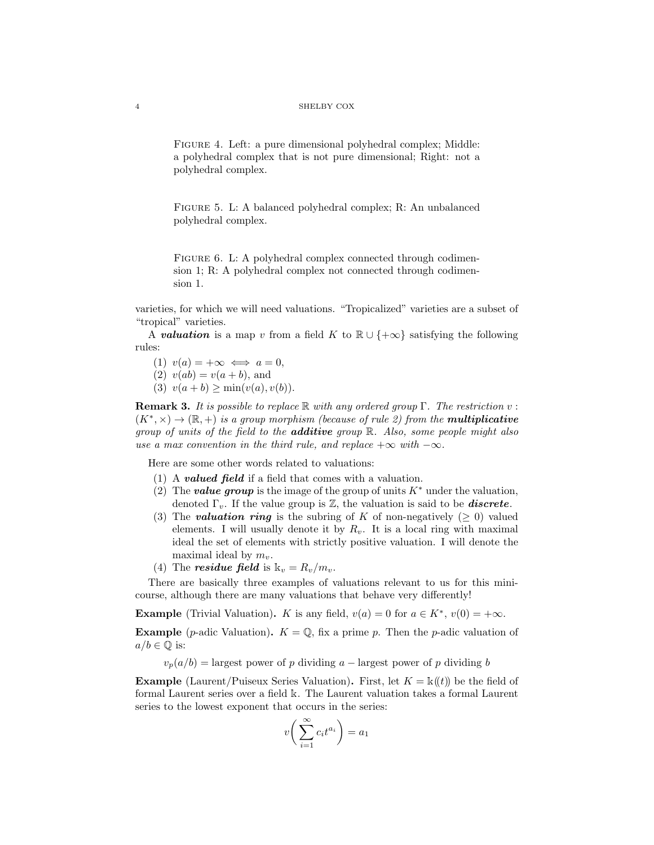#### 4 SHELBY COX

Figure 4. Left: a pure dimensional polyhedral complex; Middle: a polyhedral complex that is not pure dimensional; Right: not a polyhedral complex.

FIGURE 5. L: A balanced polyhedral complex; R: An unbalanced polyhedral complex.

FIGURE 6. L: A polyhedral complex connected through codimension 1; R: A polyhedral complex not connected through codimension 1.

varieties, for which we will need valuations. "Tropicalized" varieties are a subset of "tropical" varieties.

A **valuation** is a map v from a field K to  $\mathbb{R} \cup \{+\infty\}$  satisfying the following rules:

(1)  $v(a) = +\infty \iff a = 0$ ,

(2)  $v(ab) = v(a + b)$ , and

(3)  $v(a + b) \ge \min(v(a), v(b)).$ 

**Remark 3.** It is possible to replace  $\mathbb R$  with any ordered group  $\Gamma$ . The restriction v:  $(K^*,\times) \to (\mathbb{R},+)$  is a group morphism (because of rule 2) from the **multiplicative** group of units of the field to the **additive** group  $\mathbb{R}$ . Also, some people might also use a max convention in the third rule, and replace  $+\infty$  with  $-\infty$ .

Here are some other words related to valuations:

- (1) A **valued field** if a field that comes with a valuation.
- (2) The **value group** is the image of the group of units  $K^*$  under the valuation, denoted  $\Gamma_v$ . If the value group is Z, the valuation is said to be **discrete**.
- (3) The **valuation ring** is the subring of K of non-negatively ( $\geq$  0) valued elements. I will usually denote it by  $R_v$ . It is a local ring with maximal ideal the set of elements with strictly positive valuation. I will denote the maximal ideal by  $m_v$ .
- (4) The **residue field** is  $k_v = R_v/m_v$ .

There are basically three examples of valuations relevant to us for this minicourse, although there are many valuations that behave very differently!

**Example** (Trivial Valuation). K is any field,  $v(a) = 0$  for  $a \in K^*$ ,  $v(0) = +\infty$ .

**Example** (*p*-adic Valuation).  $K = \mathbb{Q}$ , fix a prime *p*. Then the *p*-adic valuation of  $a/b \in \mathbb{Q}$  is:

 $v_p(a/b) =$  largest power of p dividing a – largest power of p dividing b

**Example** (Laurent/Puiseux Series Valuation). First, let  $K = \mathbb{k}(t)$  be the field of formal Laurent series over a field k. The Laurent valuation takes a formal Laurent series to the lowest exponent that occurs in the series:

$$
v\bigg(\sum_{i=1}^\infty c_it^{a_i}\bigg)=a_1
$$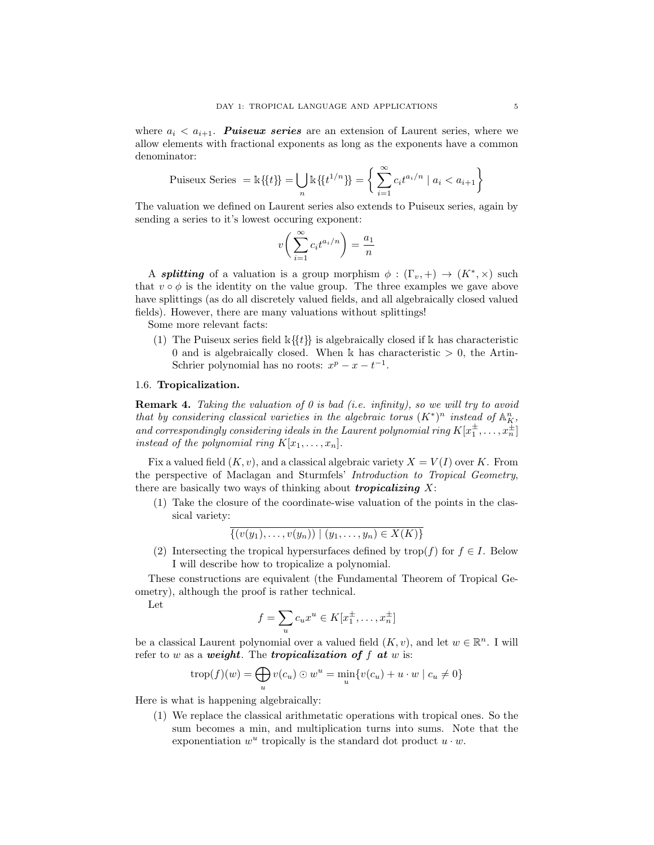where  $a_i < a_{i+1}$ . **Puiseux series** are an extension of Laurent series, where we allow elements with fractional exponents as long as the exponents have a common denominator:

Puiseux Series = 
$$
\mathbb{k}\{\{t\}\} = \bigcup_{n} \mathbb{k}\{\{t^{1/n}\}\} = \left\{\sum_{i=1}^{\infty} c_i t^{a_i/n} \mid a_i < a_{i+1}\right\}
$$

The valuation we defined on Laurent series also extends to Puiseux series, again by sending a series to it's lowest occuring exponent:

$$
v\bigg(\sum_{i=1}^\infty c_it^{a_i/n}\bigg)=\frac{a_1}{n}
$$

A **splitting** of a valuation is a group morphism  $\phi : (\Gamma_v, +) \to (K^*, \times)$  such that  $v \circ \phi$  is the identity on the value group. The three examples we gave above have splittings (as do all discretely valued fields, and all algebraically closed valued fields). However, there are many valuations without splittings!

Some more relevant facts:

(1) The Puiseux series field  $k\{\{t\}\}\$ is algebraically closed if k has characteristic 0 and is algebraically closed. When k has characteristic  $> 0$ , the Artin-Schrier polynomial has no roots:  $x^p - x - t^{-1}$ .

## 1.6. Tropicalization.

**Remark 4.** Taking the valuation of 0 is bad (i.e. infinity), so we will try to avoid that by considering classical varieties in the algebraic torus  $(K^*)^n$  instead of  $\mathbb{A}^n_K$ , and correspondingly considering ideals in the Laurent polynomial ring  $K[x_1^{\pm},...,x_n^{\pm}]$ instead of the polynomial ring  $K[x_1, \ldots, x_n]$ .

Fix a valued field  $(K, v)$ , and a classical algebraic variety  $X = V(I)$  over K. From the perspective of Maclagan and Sturmfels' Introduction to Tropical Geometry, there are basically two ways of thinking about *tropicalizing*  $X$ :

(1) Take the closure of the coordinate-wise valuation of the points in the classical variety:

$$
\overline{\{(v(y_1),\ldots,v(y_n))\mid (y_1,\ldots,y_n)\in X(K)\}}
$$

(2) Intersecting the tropical hypersurfaces defined by trop(f) for  $f \in I$ . Below I will describe how to tropicalize a polynomial.

These constructions are equivalent (the Fundamental Theorem of Tropical Geometry), although the proof is rather technical.

Let

$$
f = \sum_{u} c_u x^u \in K[x_1^{\pm}, \dots, x_n^{\pm}]
$$

be a classical Laurent polynomial over a valued field  $(K, v)$ , and let  $w \in \mathbb{R}^n$ . I will refer to w as a weight. The tropicalization of  $f$  at w is:

$$
trop(f)(w) = \bigoplus_{u} v(c_u) \odot w^u = \min_{u} \{ v(c_u) + u \cdot w \mid c_u \neq 0 \}
$$

Here is what is happening algebraically:

(1) We replace the classical arithmetatic operations with tropical ones. So the sum becomes a min, and multiplication turns into sums. Note that the exponentiation  $w^u$  tropically is the standard dot product  $u \cdot w$ .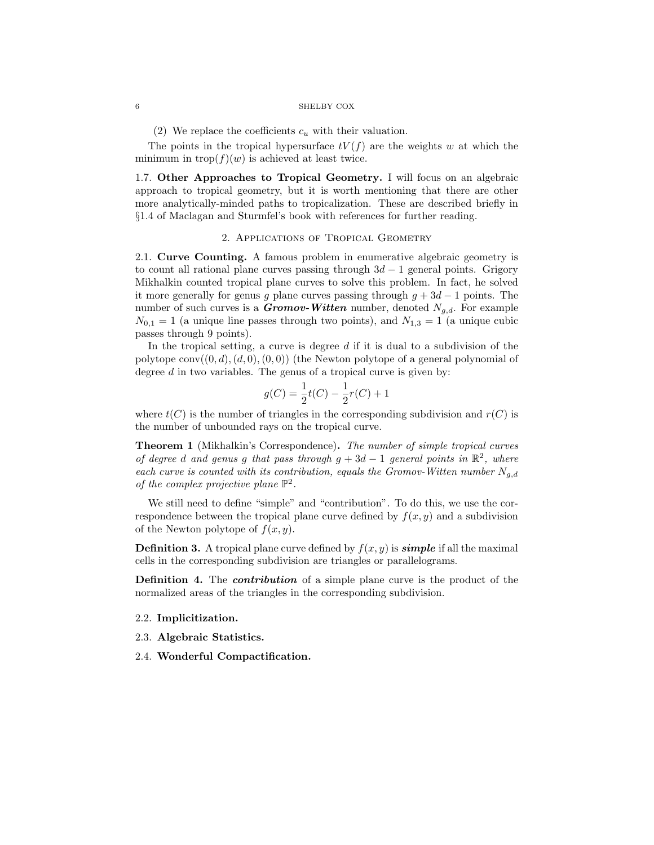### $6$   $\,$   $\,$  SHELBY COX  $\,$

(2) We replace the coefficients  $c<sub>u</sub>$  with their valuation.

The points in the tropical hypersurface  $tV(f)$  are the weights w at which the minimum in  $\text{trop}(f)(w)$  is achieved at least twice.

1.7. Other Approaches to Tropical Geometry. I will focus on an algebraic approach to tropical geometry, but it is worth mentioning that there are other more analytically-minded paths to tropicalization. These are described briefly in §1.4 of Maclagan and Sturmfel's book with references for further reading.

### 2. Applications of Tropical Geometry

2.1. Curve Counting. A famous problem in enumerative algebraic geometry is to count all rational plane curves passing through  $3d - 1$  general points. Grigory Mikhalkin counted tropical plane curves to solve this problem. In fact, he solved it more generally for genus q plane curves passing through  $q + 3d - 1$  points. The number of such curves is a **Gromov-Witten** number, denoted  $N_{q,d}$ . For example  $N_{0,1} = 1$  (a unique line passes through two points), and  $N_{1,3} = 1$  (a unique cubic passes through 9 points).

In the tropical setting, a curve is degree  $d$  if it is dual to a subdivision of the polytope conv $((0, d), (d, 0), (0, 0))$  (the Newton polytope of a general polynomial of degree  $d$  in two variables. The genus of a tropical curve is given by:

$$
g(C) = \frac{1}{2}t(C) - \frac{1}{2}r(C) + 1
$$

where  $t(C)$  is the number of triangles in the corresponding subdivision and  $r(C)$  is the number of unbounded rays on the tropical curve.

Theorem 1 (Mikhalkin's Correspondence). The number of simple tropical curves of degree d and genus g that pass through  $g + 3d - 1$  general points in  $\mathbb{R}^2$ , where each curve is counted with its contribution, equals the Gromov-Witten number  $N_{q,d}$ of the complex projective plane  $\mathbb{P}^2$ .

We still need to define "simple" and "contribution". To do this, we use the correspondence between the tropical plane curve defined by  $f(x, y)$  and a subdivision of the Newton polytope of  $f(x, y)$ .

**Definition 3.** A tropical plane curve defined by  $f(x, y)$  is **simple** if all the maximal cells in the corresponding subdivision are triangles or parallelograms.

**Definition 4.** The *contribution* of a simple plane curve is the product of the normalized areas of the triangles in the corresponding subdivision.

## 2.2. Implicitization.

2.3. Algebraic Statistics.

2.4. Wonderful Compactification.